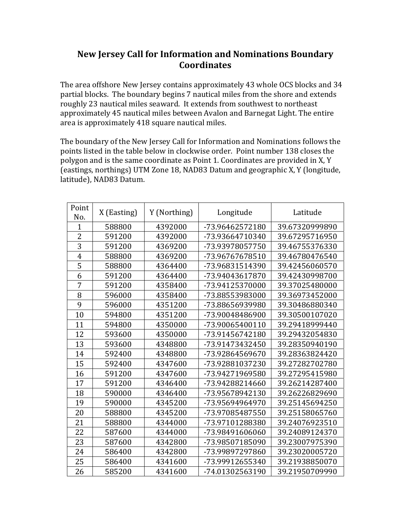## **New Jersey Call for Information and Nominations Boundary Coordinates**

The area offshore New Jersey contains approximately 43 whole OCS blocks and 34 partial blocks. The boundary begins 7 nautical miles from the shore and extends roughly 23 nautical miles seaward. It extends from southwest to northeast approximately 45 nautical miles between Avalon and Barnegat Light. The entire area is approximately 418 square nautical miles.

The boundary of the New Jersey Call for Information and Nominations follows the points listed in the table below in clockwise order. Point number 138 closes the polygon and is the same coordinate as Point 1. Coordinates are provided in X, Y (eastings, northings) UTM Zone 18, NAD83 Datum and geographic X, Y (longitude, latitude), NAD83 Datum.

| Point<br>No.   | X (Easting) | Y (Northing) | Longitude       | Latitude       |
|----------------|-------------|--------------|-----------------|----------------|
| 1              | 588800      | 4392000      | -73.96462572180 | 39.67320999890 |
| $\overline{2}$ | 591200      | 4392000      | -73.93664710340 | 39.67295716950 |
| 3              | 591200      | 4369200      | -73.93978057750 | 39.46755376330 |
| $\overline{4}$ | 588800      | 4369200      | -73.96767678510 | 39.46780476540 |
| 5              | 588800      | 4364400      | -73.96831514390 | 39.42456060570 |
| 6              | 591200      | 4364400      | -73.94043617870 | 39.42430998700 |
| 7              | 591200      | 4358400      | -73.94125370000 | 39.37025480000 |
| 8              | 596000      | 4358400      | -73.88553983000 | 39.36973452000 |
| 9              | 596000      | 4351200      | -73.88656939980 | 39.30486880340 |
| 10             | 594800      | 4351200      | -73.90048486900 | 39.30500107020 |
| 11             | 594800      | 4350000      | -73.90065400110 | 39.29418999440 |
| 12             | 593600      | 4350000      | -73.91456742180 | 39.29432054830 |
| 13             | 593600      | 4348800      | -73.91473432450 | 39.28350940190 |
| 14             | 592400      | 4348800      | -73.92864569670 | 39.28363824420 |
| 15             | 592400      | 4347600      | -73.92881037230 | 39.27282702780 |
| 16             | 591200      | 4347600      | -73.94271969580 | 39.27295415980 |
| 17             | 591200      | 4346400      | -73.94288214660 | 39.26214287400 |
| 18             | 590000      | 4346400      | -73.95678942130 | 39.26226829690 |
| 19             | 590000      | 4345200      | -73.95694964970 | 39.25145694250 |
| 20             | 588800      | 4345200      | -73.97085487550 | 39.25158065760 |
| 21             | 588800      | 4344000      | -73.97101288380 | 39.24076923510 |
| 22             | 587600      | 4344000      | -73.98491606060 | 39.24089124370 |
| 23             | 587600      | 4342800      | -73.98507185090 | 39.23007975390 |
| 24             | 586400      | 4342800      | -73.99897297860 | 39.23020005720 |
| 25             | 586400      | 4341600      | -73.99912655340 | 39.21938850070 |
| 26             | 585200      | 4341600      | -74.01302563190 | 39.21950709990 |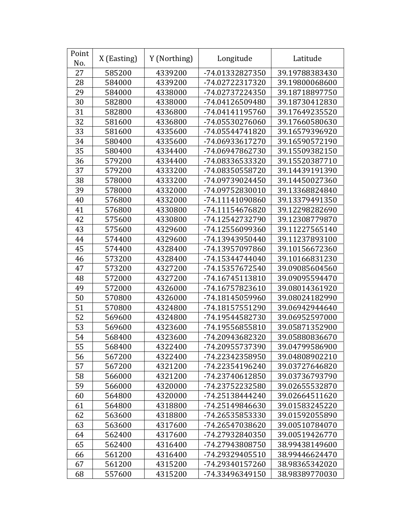| Point<br>No. | X (Easting) | Y (Northing) | Longitude       | Latitude       |
|--------------|-------------|--------------|-----------------|----------------|
| 27           | 585200      | 4339200      | -74.01332827350 | 39.19788383430 |
| 28           | 584000      | 4339200      | -74.02722317320 | 39.19800068600 |
| 29           | 584000      | 4338000      | -74.02737224350 | 39.18718897750 |
| 30           | 582800      | 4338000      | -74.04126509480 | 39.18730412830 |
| 31           | 582800      | 4336800      | -74.04141195760 | 39.17649235520 |
| 32           | 581600      | 4336800      | -74.05530276060 | 39.17660580630 |
| 33           | 581600      | 4335600      | -74.05544741820 | 39.16579396920 |
| 34           | 580400      | 4335600      | -74.06933617270 | 39.16590572190 |
| 35           | 580400      | 4334400      | -74.06947862730 | 39.15509382150 |
| 36           | 579200      | 4334400      | -74.08336533320 | 39.15520387710 |
| 37           | 579200      | 4333200      | -74.08350558720 | 39.14439191390 |
| 38           | 578000      | 4333200      | -74.09739024450 | 39.14450027360 |
| 39           | 578000      | 4332000      | -74.09752830010 | 39.13368824840 |
| 40           | 576800      | 4332000      | -74.11141090860 | 39.13379491350 |
| 41           | 576800      | 4330800      | -74.11154676820 | 39.12298282690 |
| 42           | 575600      | 4330800      | -74.12542732790 | 39.12308779870 |
| 43           | 575600      | 4329600      | -74.12556099360 | 39.11227565140 |
| 44           | 574400      | 4329600      | -74.13943950440 | 39.11237893100 |
| 45           | 574400      | 4328400      | -74.13957097860 | 39.10156672360 |
| 46           | 573200      | 4328400      | -74.15344744040 | 39.10166831230 |
| 47           | 573200      | 4327200      | -74.15357672540 | 39.09085604560 |
| 48           | 572000      | 4327200      | -74.16745113810 | 39.09095594470 |
| 49           | 572000      | 4326000      | -74.16757823610 | 39.08014361920 |
| 50           | 570800      | 4326000      | -74.18145059960 | 39.08024182990 |
| 51           | 570800      | 4324800      | -74.18157551290 | 39.06942944640 |
| 52           | 569600      | 4324800      | -74.19544582730 | 39.06952597000 |
| 53           | 569600      | 4323600      | -74.19556855810 | 39.05871352900 |
| 54           | 568400      | 4323600      | -74.20943682320 | 39.05880836670 |
| 55           | 568400      | 4322400      | -74.20955737390 | 39.04799586900 |
| 56           | 567200      | 4322400      | -74.22342358950 | 39.04808902210 |
| 57           | 567200      | 4321200      | -74.22354196240 | 39.03727646820 |
| 58           | 566000      | 4321200      | -74.23740612850 | 39.03736793790 |
| 59           | 566000      | 4320000      | -74.23752232580 | 39.02655532870 |
| 60           | 564800      | 4320000      | -74.25138444240 | 39.02664511620 |
| 61           | 564800      | 4318800      | -74.25149846630 | 39.01583245220 |
| 62           | 563600      | 4318800      | -74.26535853330 | 39.01592055890 |
| 63           | 563600      | 4317600      | -74.26547038620 | 39.00510784070 |
| 64           | 562400      | 4317600      | -74.27932840350 | 39.00519426770 |
| 65           | 562400      | 4316400      | -74.27943808750 | 38.99438149600 |
| 66           | 561200      | 4316400      | -74.29329405510 | 38.99446624470 |
| 67           | 561200      | 4315200      | -74.29340157260 | 38.98365342020 |
| 68           | 557600      | 4315200      | -74.33496349150 | 38.98389770030 |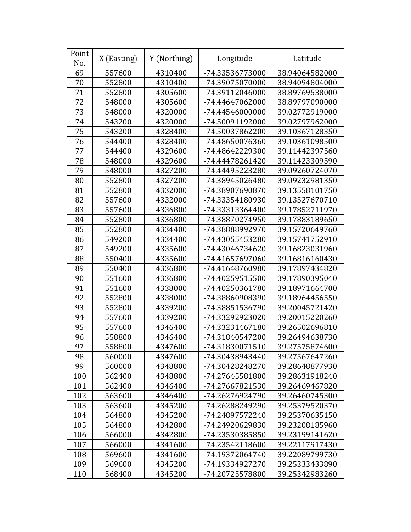| Point<br>No. | X (Easting) | Y (Northing) | Longitude       | Latitude       |
|--------------|-------------|--------------|-----------------|----------------|
| 69           | 557600      | 4310400      | -74.33536773000 | 38.94064582000 |
| 70           | 552800      | 4310400      | -74.39075070000 | 38.94094804000 |
| 71           | 552800      | 4305600      | -74.39112046000 | 38.89769538000 |
| 72           | 548000      | 4305600      | -74.44647062000 | 38.89797090000 |
| 73           | 548000      | 4320000      | -74.44546000000 | 39.02772919000 |
| 74           | 543200      | 4320000      | -74.50091192000 | 39.02797962000 |
| 75           | 543200      | 4328400      | -74.50037862200 | 39.10367128350 |
| 76           | 544400      | 4328400      | -74.48650076360 | 39.10361098500 |
| 77           | 544400      | 4329600      | -74.48642229300 | 39.11442397560 |
| 78           | 548000      | 4329600      | -74.44478261420 | 39.11423309590 |
| 79           | 548000      | 4327200      | -74.44495223280 | 39.09260724070 |
| 80           | 552800      | 4327200      | -74.38945026480 | 39.09232981350 |
| 81           | 552800      | 4332000      | -74.38907690870 | 39.13558101750 |
| 82           | 557600      | 4332000      | -74.33354180930 | 39.13527670710 |
| 83           | 557600      | 4336800      | -74.33313364400 | 39.17852711970 |
| 84           | 552800      | 4336800      | -74.38870274950 | 39.17883189650 |
| 85           | 552800      | 4334400      | -74.38888992970 | 39.15720649760 |
| 86           | 549200      | 4334400      | -74.43055453280 | 39.15741752910 |
| 87           | 549200      | 4335600      | -74.43046734620 | 39.16823031960 |
| 88           | 550400      | 4335600      | -74.41657697060 | 39.16816160430 |
| 89           | 550400      | 4336800      | -74.41648760980 | 39.17897434820 |
| 90           | 551600      | 4336800      | -74.40259515500 | 39.17890395040 |
| 91           | 551600      | 4338000      | -74.40250361780 | 39.18971664700 |
| 92           | 552800      | 4338000      | -74.38860908390 | 39.18964456550 |
| 93           | 552800      | 4339200      | -74.38851536790 | 39.20045721420 |
| 94           | 557600      | 4339200      | -74.33292923020 | 39.20015220260 |
| 95           | 557600      | 4346400      | -74.33231467180 | 39.26502696810 |
| 96           | 558800      | 4346400      | -74.31840547200 | 39.26494638730 |
| 97           | 558800      | 4347600      | -74.31830071510 | 39.27575874600 |
| 98           | 560000      | 4347600      | -74.30438943440 | 39.27567647260 |
| 99           | 560000      | 4348800      | -74.30428248270 | 39.28648877930 |
| 100          | 562400      | 4348800      | -74.27645581800 | 39.28631918240 |
| 101          | 562400      | 4346400      | -74.27667821530 | 39.26469467820 |
| 102          | 563600      | 4346400      | -74.26276924790 | 39.26460745300 |
| 103          | 563600      | 4345200      | -74.26288249290 | 39.25379520370 |
| 104          | 564800      | 4345200      | -74.24897572240 | 39.25370635150 |
| 105          | 564800      | 4342800      | -74.24920629830 | 39.23208185960 |
| 106          | 566000      | 4342800      | -74.23530385850 | 39.23199141620 |
| 107          | 566000      | 4341600      | -74.23542118600 | 39.22117917430 |
| 108          | 569600      | 4341600      | -74.19372064740 | 39.22089799730 |
| 109          | 569600      | 4345200      | -74.19334927270 | 39.25333433890 |
| 110          | 568400      | 4345200      | -74.20725578800 | 39.25342983260 |